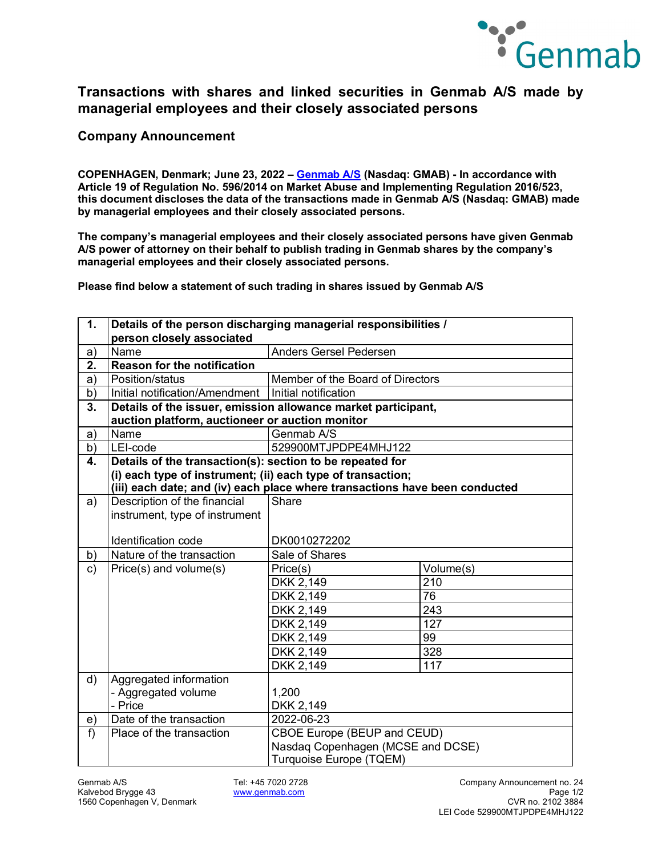

## **Transactions with shares and linked securities in Genmab A/S made by managerial employees and their closely associated persons**

**Company Announcement**

**COPENHAGEN, Denmark; June 23, 2022 – [Genmab A/S](https://www.genmab.com/) (Nasdaq: GMAB) - In accordance with Article 19 of Regulation No. 596/2014 on Market Abuse and Implementing Regulation 2016/523, this document discloses the data of the transactions made in Genmab A/S (Nasdaq: GMAB) made by managerial employees and their closely associated persons.**

**The company's managerial employees and their closely associated persons have given Genmab A/S power of attorney on their behalf to publish trading in Genmab shares by the company's managerial employees and their closely associated persons.**

**Please find below a statement of such trading in shares issued by Genmab A/S**

| $\mathbf 1$ . | Details of the person discharging managerial responsibilities /             |                                                                                                    |           |  |
|---------------|-----------------------------------------------------------------------------|----------------------------------------------------------------------------------------------------|-----------|--|
|               | person closely associated                                                   |                                                                                                    |           |  |
| a)            | Name                                                                        | <b>Anders Gersel Pedersen</b>                                                                      |           |  |
| 2.            | <b>Reason for the notification</b>                                          |                                                                                                    |           |  |
| a)            | Position/status                                                             | Member of the Board of Directors                                                                   |           |  |
| b)            | Initial notification/Amendment                                              | Initial notification                                                                               |           |  |
| 3.            | Details of the issuer, emission allowance market participant,               |                                                                                                    |           |  |
|               | auction platform, auctioneer or auction monitor                             |                                                                                                    |           |  |
| a)            | Name                                                                        | Genmab A/S                                                                                         |           |  |
| b)            | LEI-code                                                                    | 529900MTJPDPE4MHJ122                                                                               |           |  |
| 4.            |                                                                             | Details of the transaction(s): section to be repeated for                                          |           |  |
|               | (i) each type of instrument; (ii) each type of transaction;                 |                                                                                                    |           |  |
|               | (iii) each date; and (iv) each place where transactions have been conducted |                                                                                                    |           |  |
| a)            | Description of the financial                                                | Share                                                                                              |           |  |
|               | instrument, type of instrument                                              |                                                                                                    |           |  |
|               |                                                                             |                                                                                                    |           |  |
|               | Identification code                                                         | DK0010272202                                                                                       |           |  |
| b)            | Nature of the transaction                                                   | Sale of Shares                                                                                     |           |  |
| c)            | Price(s) and volume(s)                                                      | Price(s)                                                                                           | Volume(s) |  |
|               |                                                                             | DKK 2,149                                                                                          | 210       |  |
|               |                                                                             | DKK 2,149                                                                                          | 76        |  |
|               |                                                                             | DKK 2,149                                                                                          | 243       |  |
|               |                                                                             | DKK 2,149                                                                                          | 127       |  |
|               |                                                                             | DKK 2,149                                                                                          | 99        |  |
|               |                                                                             | DKK 2,149                                                                                          | 328       |  |
|               |                                                                             | <b>DKK 2,149</b>                                                                                   | 117       |  |
| d)            | Aggregated information                                                      |                                                                                                    |           |  |
|               | - Aggregated volume                                                         | 1,200                                                                                              |           |  |
|               | - Price                                                                     | DKK 2,149                                                                                          |           |  |
| e)            | Date of the transaction                                                     | 2022-06-23                                                                                         |           |  |
| $f$ )         | Place of the transaction                                                    | <b>CBOE Europe (BEUP and CEUD)</b><br>Nasdaq Copenhagen (MCSE and DCSE)<br>Turquoise Europe (TQEM) |           |  |
|               |                                                                             |                                                                                                    |           |  |
|               |                                                                             |                                                                                                    |           |  |